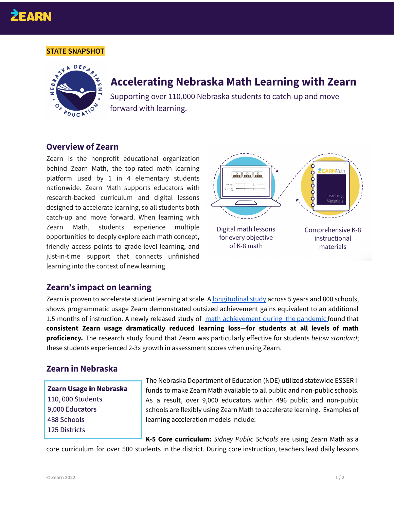# **EARN**

#### **STATE SNAPSHOT**



# **Accelerating Nebraska Math Learning with Zearn**

Supporting over 110,000 Nebraska students to catch-up and move forward with learning.

#### **Overview of Zearn**

Zearn is the nonprofit educational organization behind Zearn Math, the top-rated math learning platform used by 1 in 4 elementary students nationwide. Zearn Math supports educators with research-backed curriculum and digital lessons designed to accelerate learning, so all students both catch-up and move forward. When learning with Zearn Math, students experience multiple opportunities to deeply explore each math concept, friendly access points to grade-level learning, and just-in-time support that connects unfinished learning into the context of new learning.



#### **Zearn's impact on learning**

Zearn is proven to accelerate student learning at scale. A [longitudinal](https://webassets.zearn.org/Implementation/ZearnMathEffectiveness_LandmarkStudy.pdf) study across 5 years and 800 schools, shows programmatic usage Zearn demonstrated outsized achievement gains equivalent to an additional 1.5 months of instruction. A newly released study of math [achievement](https://about.zearn.org/insights/zearn-impact-on-pandemic-learning?utm_campaign=research&utm_medium=referral&utm_source=ne-doe) during the pandemic found that **consistent Zearn usage dramatically reduced learning loss—for students at all levels of math proficiency.** The research study found that Zearn was particularly effective for students *below standard*; these students experienced 2-3x growth in assessment scores when using Zearn.

### **Zearn in Nebraska**

## Zearn Usage in Nebraska 110,000 Students 9,000 Educators 488 Schools 125 Districts

The Nebraska Department of Education (NDE) utilized statewide ESSER II funds to make Zearn Math available to all public and non-public schools. As a result, over 9,000 educators within 496 public and non-public schools are flexibly using Zearn Math to accelerate learning. Examples of learning acceleration models include:

**K-5 Core curriculum:** *Sidney Public Schools* are using Zearn Math as a core curriculum for over 500 students in the district. During core instruction, teachers lead daily lessons